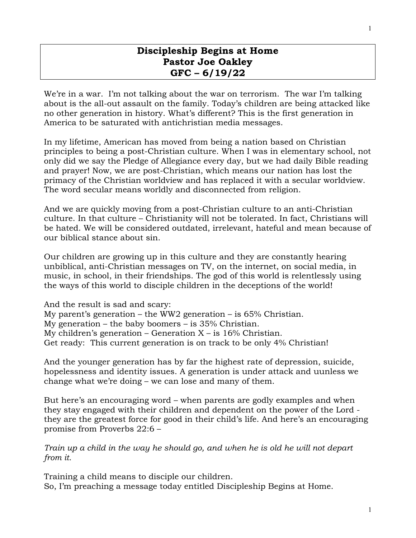# **Discipleship Begins at Home Pastor Joe Oakley GFC – 6/19/22**

We're in a war. I'm not talking about the war on terrorism. The war I'm talking about is the all-out assault on the family. Today's children are being attacked like no other generation in history. What's different? This is the first generation in America to be saturated with antichristian media messages.

In my lifetime, American has moved from being a nation based on Christian principles to being a post-Christian culture. When I was in elementary school, not only did we say the Pledge of Allegiance every day, but we had daily Bible reading and prayer! Now, we are post-Christian, which means our nation has lost the primacy of the Christian worldview and has replaced it with a secular worldview. The word secular means worldly and disconnected from religion.

And we are quickly moving from a post-Christian culture to an anti-Christian culture. In that culture – Christianity will not be tolerated. In fact, Christians will be hated. We will be considered outdated, irrelevant, hateful and mean because of our biblical stance about sin.

Our children are growing up in this culture and they are constantly hearing unbiblical, anti-Christian messages on TV, on the internet, on social media, in music, in school, in their friendships. The god of this world is relentlessly using the ways of this world to disciple children in the deceptions of the world!

And the result is sad and scary: My parent's generation – the WW2 generation – is  $65\%$  Christian. My generation – the baby boomers – is 35% Christian. My children's generation – Generation  $X - iS = 16\%$  Christian. Get ready: This current generation is on track to be only 4% Christian!

And the younger generation has by far the highest rate of depression, suicide, hopelessness and identity issues. A generation is under attack and uunless we change what we're doing – we can lose and many of them.

But here's an encouraging word – when parents are godly examples and when they stay engaged with their children and dependent on the power of the Lord they are the greatest force for good in their child's life. And here's an encouraging promise from Proverbs 22:6 –

*Train up a child in the way he should go, and when he is old he will not depart from it.* 

Training a child means to disciple our children. So, I'm preaching a message today entitled Discipleship Begins at Home.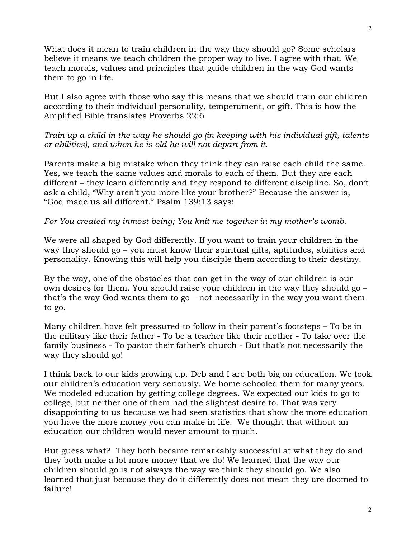What does it mean to train children in the way they should go? Some scholars believe it means we teach children the proper way to live. I agree with that. We teach morals, values and principles that guide children in the way God wants them to go in life.

But I also agree with those who say this means that we should train our children according to their individual personality, temperament, or gift. This is how the Amplified Bible translates Proverbs 22:6

*Train up a child in the way he should go (in keeping with his individual gift, talents or abilities), and when he is old he will not depart from it.* 

Parents make a big mistake when they think they can raise each child the same. Yes, we teach the same values and morals to each of them. But they are each different – they learn differently and they respond to different discipline. So, don't ask a child, "Why aren't you more like your brother?" Because the answer is, "God made us all different." Psalm 139:13 says:

*For You created my inmost being; You knit me together in my mother's womb.* 

We were all shaped by God differently. If you want to train your children in the way they should go – you must know their spiritual gifts, aptitudes, abilities and personality. Knowing this will help you disciple them according to their destiny.

By the way, one of the obstacles that can get in the way of our children is our own desires for them. You should raise your children in the way they should go – that's the way God wants them to go – not necessarily in the way you want them to go.

Many children have felt pressured to follow in their parent's footsteps – To be in the military like their father - To be a teacher like their mother - To take over the family business - To pastor their father's church - But that's not necessarily the way they should go!

I think back to our kids growing up. Deb and I are both big on education. We took our children's education very seriously. We home schooled them for many years. We modeled education by getting college degrees. We expected our kids to go to college, but neither one of them had the slightest desire to. That was very disappointing to us because we had seen statistics that show the more education you have the more money you can make in life. We thought that without an education our children would never amount to much.

But guess what? They both became remarkably successful at what they do and they both make a lot more money that we do! We learned that the way our children should go is not always the way we think they should go. We also learned that just because they do it differently does not mean they are doomed to failure!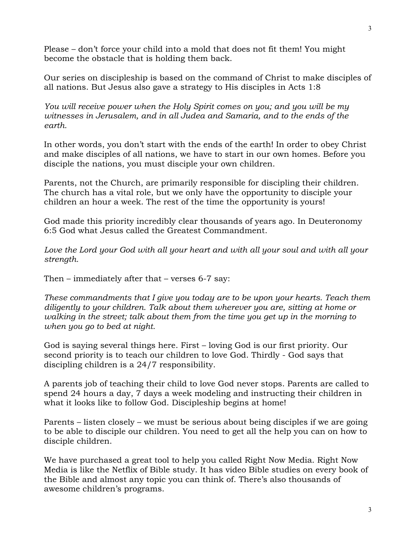Please – don't force your child into a mold that does not fit them! You might become the obstacle that is holding them back.

Our series on discipleship is based on the command of Christ to make disciples of all nations. But Jesus also gave a strategy to His disciples in Acts 1:8

*You will receive power when the Holy Spirit comes on you; and you will be my witnesses in Jerusalem, and in all Judea and Samaria, and to the ends of the earth.* 

In other words, you don't start with the ends of the earth! In order to obey Christ and make disciples of all nations, we have to start in our own homes. Before you disciple the nations, you must disciple your own children.

Parents, not the Church, are primarily responsible for discipling their children. The church has a vital role, but we only have the opportunity to disciple your children an hour a week. The rest of the time the opportunity is yours!

God made this priority incredibly clear thousands of years ago. In Deuteronomy 6:5 God what Jesus called the Greatest Commandment.

*Love the Lord your God with all your heart and with all your soul and with all your strength.*

Then – immediately after that – verses 6-7 say:

*These commandments that I give you today are to be upon your hearts. Teach them diligently to your children. Talk about them wherever you are, sitting at home or walking in the street; talk about them from the time you get up in the morning to when you go to bed at night.*

God is saying several things here. First – loving God is our first priority. Our second priority is to teach our children to love God. Thirdly - God says that discipling children is a 24/7 responsibility.

A parents job of teaching their child to love God never stops. Parents are called to spend 24 hours a day, 7 days a week modeling and instructing their children in what it looks like to follow God. Discipleship begins at home!

Parents – listen closely – we must be serious about being disciples if we are going to be able to disciple our children. You need to get all the help you can on how to disciple children.

We have purchased a great tool to help you called Right Now Media. Right Now Media is like the Netflix of Bible study. It has video Bible studies on every book of the Bible and almost any topic you can think of. There's also thousands of awesome children's programs.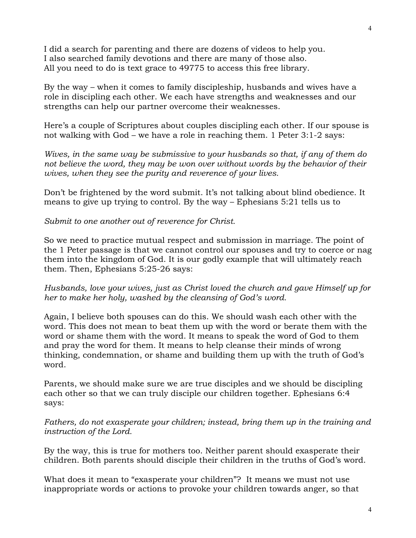I did a search for parenting and there are dozens of videos to help you. I also searched family devotions and there are many of those also. All you need to do is text grace to 49775 to access this free library.

By the way – when it comes to family discipleship, husbands and wives have a role in discipling each other. We each have strengths and weaknesses and our strengths can help our partner overcome their weaknesses.

Here's a couple of Scriptures about couples discipling each other. If our spouse is not walking with God – we have a role in reaching them. 1 Peter 3:1-2 says:

*Wives, in the same way be submissive to your husbands so that, if any of them do not believe the word, they may be won over without words by the behavior of their wives, when they see the purity and reverence of your lives.*

Don't be frightened by the word submit. It's not talking about blind obedience. It means to give up trying to control. By the way – Ephesians 5:21 tells us to

*Submit to one another out of reverence for Christ.* 

So we need to practice mutual respect and submission in marriage. The point of the 1 Peter passage is that we cannot control our spouses and try to coerce or nag them into the kingdom of God. It is our godly example that will ultimately reach them. Then, Ephesians 5:25-26 says:

*Husbands, love your wives, just as Christ loved the church and gave Himself up for her to make her holy, washed by the cleansing of God's word.*

Again, I believe both spouses can do this. We should wash each other with the word. This does not mean to beat them up with the word or berate them with the word or shame them with the word. It means to speak the word of God to them and pray the word for them. It means to help cleanse their minds of wrong thinking, condemnation, or shame and building them up with the truth of God's word.

Parents, we should make sure we are true disciples and we should be discipling each other so that we can truly disciple our children together. Ephesians 6:4 says:

*Fathers, do not exasperate your children; instead, bring them up in the training and instruction of the Lord.*

By the way, this is true for mothers too. Neither parent should exasperate their children. Both parents should disciple their children in the truths of God's word.

What does it mean to "exasperate your children"? It means we must not use inappropriate words or actions to provoke your children towards anger, so that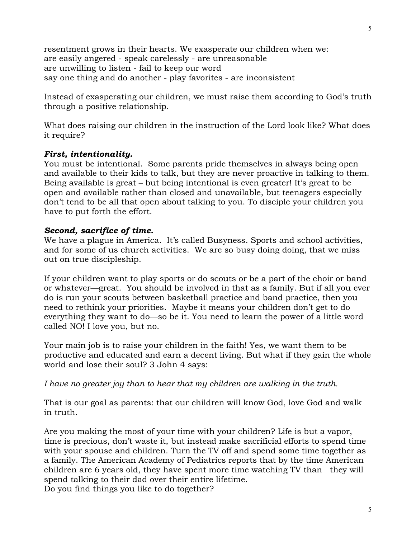resentment grows in their hearts. We exasperate our children when we: are easily angered - speak carelessly - are unreasonable are unwilling to listen - fail to keep our word say one thing and do another - play favorites - are inconsistent

Instead of exasperating our children, we must raise them according to God's truth through a positive relationship.

What does raising our children in the instruction of the Lord look like? What does it require?

# *First, intentionality.*

You must be intentional. Some parents pride themselves in always being open and available to their kids to talk, but they are never proactive in talking to them. Being available is great – but being intentional is even greater! It's great to be open and available rather than closed and unavailable, but teenagers especially don't tend to be all that open about talking to you. To disciple your children you have to put forth the effort.

# *Second, sacrifice of time.*

We have a plague in America. It's called Busyness. Sports and school activities, and for some of us church activities. We are so busy doing doing, that we miss out on true discipleship.

If your children want to play sports or do scouts or be a part of the choir or band or whatever—great. You should be involved in that as a family. But if all you ever do is run your scouts between basketball practice and band practice, then you need to rethink your priorities. Maybe it means your children don't get to do everything they want to do—so be it. You need to learn the power of a little word called NO! I love you, but no.

Your main job is to raise your children in the faith! Yes, we want them to be productive and educated and earn a decent living. But what if they gain the whole world and lose their soul? 3 John 4 says:

*I have no greater joy than to hear that my children are walking in the truth.* 

That is our goal as parents: that our children will know God, love God and walk in truth.

Are you making the most of your time with your children? Life is but a vapor, time is precious, don't waste it, but instead make sacrificial efforts to spend time with your spouse and children. Turn the TV off and spend some time together as a family. The American Academy of Pediatrics reports that by the time American children are 6 years old, they have spent more time watching TV than they will spend talking to their dad over their entire lifetime. Do you find things you like to do together?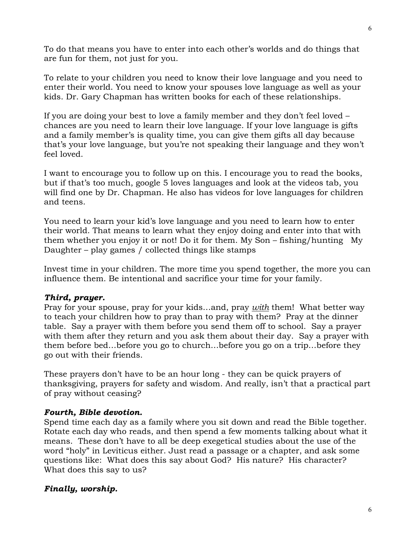To do that means you have to enter into each other's worlds and do things that are fun for them, not just for you.

To relate to your children you need to know their love language and you need to enter their world. You need to know your spouses love language as well as your kids. Dr. Gary Chapman has written books for each of these relationships.

If you are doing your best to love a family member and they don't feel loved – chances are you need to learn their love language. If your love language is gifts and a family member's is quality time, you can give them gifts all day because that's your love language, but you're not speaking their language and they won't feel loved.

I want to encourage you to follow up on this. I encourage you to read the books, but if that's too much, google 5 loves languages and look at the videos tab, you will find one by Dr. Chapman. He also has videos for love languages for children and teens.

You need to learn your kid's love language and you need to learn how to enter their world. That means to learn what they enjoy doing and enter into that with them whether you enjoy it or not! Do it for them. My Son – fishing/hunting My Daughter – play games / collected things like stamps

Invest time in your children. The more time you spend together, the more you can influence them. Be intentional and sacrifice your time for your family.

## *Third, prayer.*

Pray for your spouse, pray for your kids…and, pray *with* them! What better way to teach your children how to pray than to pray with them? Pray at the dinner table. Say a prayer with them before you send them off to school. Say a prayer with them after they return and you ask them about their day. Say a prayer with them before bed…before you go to church…before you go on a trip…before they go out with their friends.

These prayers don't have to be an hour long - they can be quick prayers of thanksgiving, prayers for safety and wisdom. And really, isn't that a practical part of pray without ceasing?

#### *Fourth, Bible devotion.*

Spend time each day as a family where you sit down and read the Bible together. Rotate each day who reads, and then spend a few moments talking about what it means. These don't have to all be deep exegetical studies about the use of the word "holy" in Leviticus either. Just read a passage or a chapter, and ask some questions like: What does this say about God? His nature? His character? What does this say to us?

## *Finally, worship.*